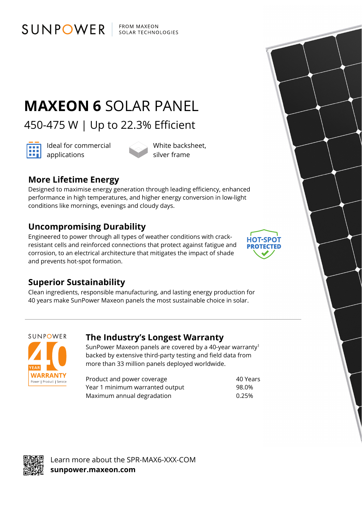FROM MAXEON SOLAR TECHNOLOGIES

# **MAXEON 6** SOLAR PANEL

450-475 W | Up to 22.3% Efficient



Ideal for commercial **and** Ideal for con

White backsheet, silver frame

# **More Lifetime Energy**

SUNPOWER

Designed to maximise energy generation through leading efficiency, enhanced performance in high temperatures, and higher energy conversion in low-light conditions like mornings, evenings and cloudy days.

## **Uncompromising Durability**

Engineered to power through all types of weather conditions with crackresistant cells and reinforced connections that protect against fatigue and corrosion, to an electrical architecture that mitigates the impact of shade and prevents hot-spot formation.



### **Superior Sustainability**

Clean ingredients, responsible manufacturing, and lasting energy production for 40 years make SunPower Maxeon panels the most sustainable choice in solar.



### **The Industry's Longest Warranty**

SunPower Maxeon panels are covered by a 40-year warranty1 backed by extensive third-party testing and field data from more than 33 million panels deployed worldwide.

Product and power coverage example 30 Years Year 1 minimum warranted output 98.0% Maximum annual degradation metal was more contacted to  $0.25\%$